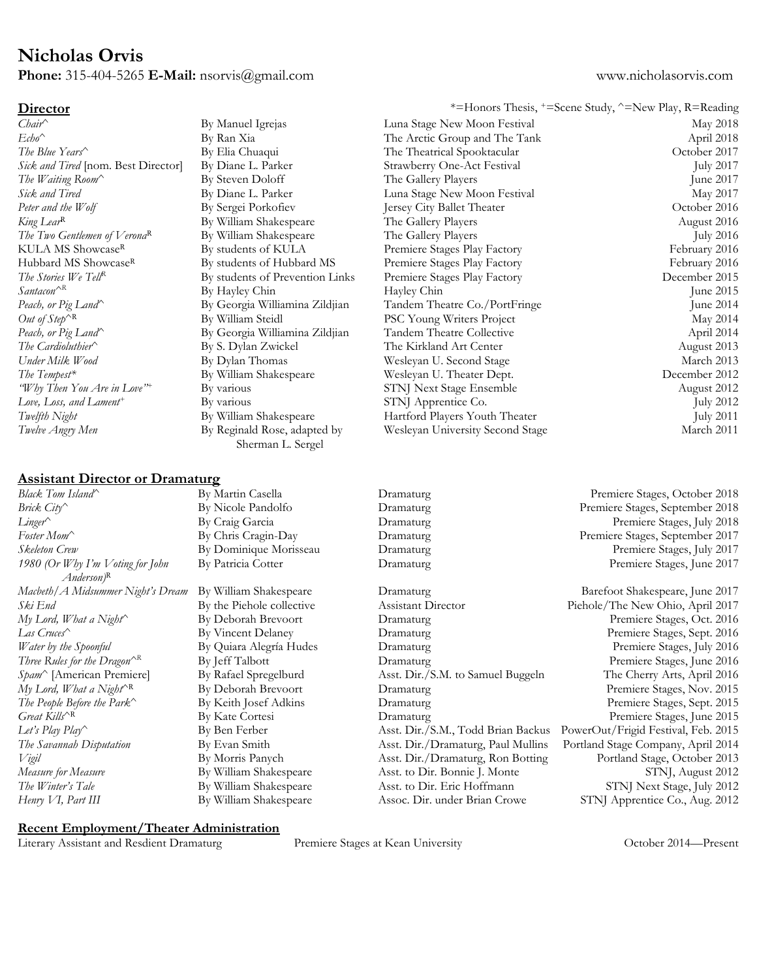## **Nicholas Orvis**

**Phone:** 315-404-5265 **E-Mail:** nsorvis@gmail.com www.nicholasorvis.com

## **Assistant Director or Dramaturg**

### By Manuel Igrejas By Ran Xia By Elia Chuaqui By Diane L. Parker By Steven Doloff By Diane L. Parker By Sergei Porkofiev By William Shakespeare By William Shakespeare By students of KULA By students of Hubbard MS By students of Prevention Links By Hayley Chin By Georgia Williamina Zildjian By William Steidl By Georgia Williamina Zildjian By S. Dylan Zwickel By Dylan Thomas By William Shakespeare By various By various By William Shakespeare By Reginald Rose, adapted by Sherman L. Sergel

| <u>Director</u>                          |                                                 |                                  | *=Honors Thesis, +=Scene Study, ^=New Play, R=Reading |
|------------------------------------------|-------------------------------------------------|----------------------------------|-------------------------------------------------------|
| Chair^                                   | By Manuel Igrejas                               | Luna Stage New Moon Festival     | May 2018                                              |
| $E$ cho^                                 | By Ran Xia                                      | The Arctic Group and The Tank    | April 2018                                            |
| The Blue Years                           | By Elia Chuaqui                                 | The Theatrical Spooktacular      | October 2017                                          |
| Sick and Tired [nom. Best Director]      | By Diane L. Parker                              | Strawberry One-Act Festival      | <b>July 2017</b>                                      |
| The Waiting Room^                        | By Steven Doloff                                | The Gallery Players              | June 2017                                             |
| Sick and Tired                           | By Diane L. Parker                              | Luna Stage New Moon Festival     | May 2017                                              |
| Peter and the Wolf                       | By Sergei Porkofiev                             | Jersey City Ballet Theater       | October 2016                                          |
| King Lear <sup>R</sup>                   | By William Shakespeare                          | The Gallery Players              | August 2016                                           |
| The Two Gentlemen of Verona <sup>R</sup> | By William Shakespeare                          | The Gallery Players              | <b>July 2016</b>                                      |
| KULA MS Showcase <sup>R</sup>            | By students of KULA                             | Premiere Stages Play Factory     | February 2016                                         |
| Hubbard MS Showcase <sup>R</sup>         | By students of Hubbard MS                       | Premiere Stages Play Factory     | February 2016                                         |
| The Stories We TellR                     | By students of Prevention Links                 | Premiere Stages Play Factory     | December 2015                                         |
| Santacon <sup>^R</sup>                   | By Hayley Chin                                  | Hayley Chin                      | June 2015                                             |
| Peach, or Pig Land^                      | By Georgia Williamina Zildjian                  | Tandem Theatre Co./PortFringe    | June 2014                                             |
| Out of $Step^{\wedge R}$                 | By William Steidl                               | PSC Young Writers Project        | May 2014                                              |
| Peach, or Pig Land^                      | By Georgia Williamina Zildjian                  | Tandem Theatre Collective        | April 2014                                            |
| The Cardioluthier^                       | By S. Dylan Zwickel                             | The Kirkland Art Center          | August 2013                                           |
| Under Milk Wood                          | By Dylan Thomas                                 | Wesleyan U. Second Stage         | March 2013                                            |
| The Tempest*                             | By William Shakespeare                          | Wesleyan U. Theater Dept.        | December 2012                                         |
| "Why Then You Are in Love" <sup>+</sup>  | By various                                      | STNJ Next Stage Ensemble         | August 2012                                           |
| Love, Loss, and Lament <sup>+</sup>      | By various                                      | STNJ Apprentice Co.              | <b>July 2012</b>                                      |
| Twelfth Night                            | By William Shakespeare                          | Hartford Players Youth Theater   | <b>July 2011</b>                                      |
| Twelve Angry Men                         | By Reginald Rose, adapted by<br>Champer I Canal | Wesleyan University Second Stage | March 2011                                            |

| Black Tom Island                                            | By Martin Casella         | Dramaturg                          | Premiere Stages, October 2018       |
|-------------------------------------------------------------|---------------------------|------------------------------------|-------------------------------------|
| Brick City                                                  | By Nicole Pandolfo        | Dramaturg                          | Premiere Stages, September 2018     |
| Linger^                                                     | By Craig Garcia           | Dramaturg                          | Premiere Stages, July 2018          |
| Foster Mom                                                  | By Chris Cragin-Day       | Dramaturg                          | Premiere Stages, September 2017     |
| Skeleton Crew                                               | By Dominique Morisseau    | Dramaturg                          | Premiere Stages, July 2017          |
| 1980 (Or Why I'm Voting for John<br>$Anderson$ <sup>R</sup> | By Patricia Cotter        | Dramaturg                          | Premiere Stages, June 2017          |
| Macheth/ A Midsummer Night's Dream                          | By William Shakespeare    | Dramaturg                          | Barefoot Shakespeare, June 2017     |
| Ski End                                                     | By the Piehole collective | <b>Assistant Director</b>          | Piehole/The New Ohio, April 2017    |
| $My$ Lord, What a Night                                     | By Deborah Brevoort       | Dramaturg                          | Premiere Stages, Oct. 2016          |
| Las Cruces                                                  | By Vincent Delaney        | Dramaturg                          | Premiere Stages, Sept. 2016         |
| Water by the Spoonful                                       | By Quiara Alegría Hudes   | Dramaturg                          | Premiere Stages, July 2016          |
| Three Rules for the Dragon <sup><math>AR</math></sup>       | By Jeff Talbott           | Dramaturg                          | Premiere Stages, June 2016          |
| Spam^ [American Premiere]                                   | By Rafael Spregelburd     | Asst. Dir./S.M. to Samuel Buggeln  | The Cherry Arts, April 2016         |
| My Lord, What a Night <sup><math>R</math></sup>             | By Deborah Brevoort       | Dramaturg                          | Premiere Stages, Nov. 2015          |
| The People Before the Park^                                 | By Keith Josef Adkins     | Dramaturg                          | Premiere Stages, Sept. 2015         |
| Great Kills <sup>AR</sup>                                   | By Kate Cortesi           | Dramaturg                          | Premiere Stages, June 2015          |
| Let's Play Play                                             | By Ben Ferber             | Asst. Dir./S.M., Todd Brian Backus | PowerOut/Frigid Festival, Feb. 2015 |
| The Savannah Disputation                                    | By Evan Smith             | Asst. Dir./Dramaturg, Paul Mullins | Portland Stage Company, April 2014  |
| Vigil                                                       | By Morris Panych          | Asst. Dir./Dramaturg, Ron Botting  | Portland Stage, October 2013        |
| Measure for Measure                                         | By William Shakespeare    | Asst. to Dir. Bonnie J. Monte      | STNJ, August 2012                   |
| The Winter's Tale                                           | By William Shakespeare    | Asst. to Dir. Eric Hoffmann        | STNJ Next Stage, July 2012          |

**Recent Employment/Theater Administration**

By William Shakespeare

Literary Assistant and Resdient Dramaturg Premiere Stages at Kean University October 2014—Present

*Henry VI, Part III*

Assoc. Dir. under Brian Crowe

STNJ Apprentice Co., Aug. 2012